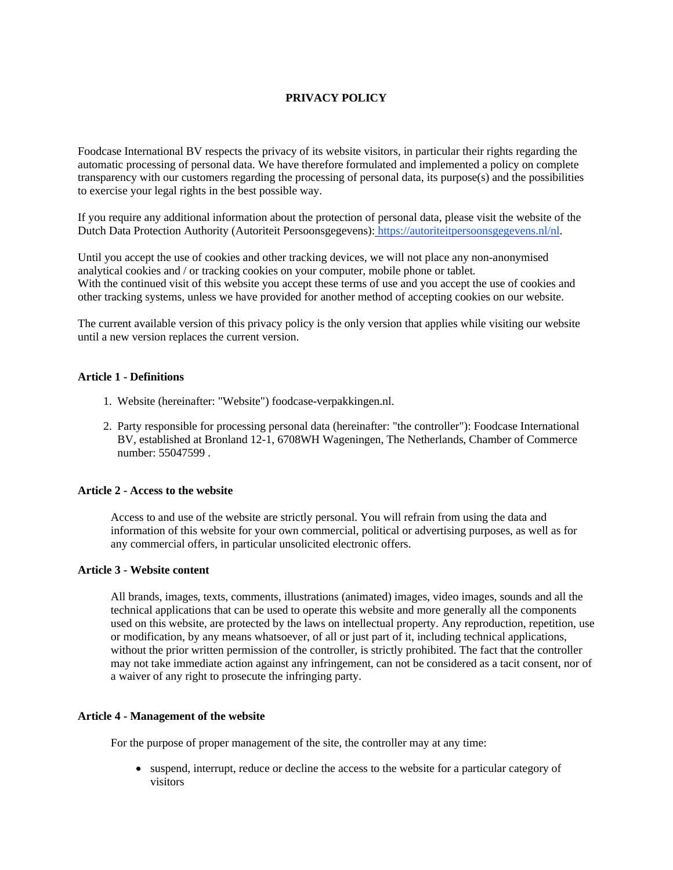# **PRIVACY POLICY**

Foodcase International BV respects the privacy of its website visitors, in particular their rights regarding the automatic processing of personal data. We have therefore formulated and implemented a policy on complete transparency with our customers regarding the processing of personal data, its purpose(s) and the possibilities to exercise your legal rights in the best possible way.

If you require any additional information about the protection of personal data, please visit the website of the Dutch Data Protection Authority (Autoriteit Persoonsgegevens): [https://autoriteitpersoonsgegevens.nl/nl.](https://autoriteitpersoonsgegevens.nl/nl)

Until you accept the use of cookies and other tracking devices, we will not place any non-anonymised analytical cookies and / or tracking cookies on your computer, mobile phone or tablet. With the continued visit of this website you accept these terms of use and you accept the use of cookies and other tracking systems, unless we have provided for another method of accepting cookies on our website.

The current available version of this privacy policy is the only version that applies while visiting our website until a new version replaces the current version.

# **Article 1 - Definitions**

- 1. Website (hereinafter: "Website") foodcase-verpakkingen.nl.
- 2. Party responsible for processing personal data (hereinafter: "the controller"): Foodcase International BV, established at Bronland 12-1, 6708WH Wageningen, The Netherlands, Chamber of Commerce number: 55047599 .

## **Article 2 - Access to the website**

Access to and use of the website are strictly personal. You will refrain from using the data and information of this website for your own commercial, political or advertising purposes, as well as for any commercial offers, in particular unsolicited electronic offers.

#### **Article 3 - Website content**

All brands, images, texts, comments, illustrations (animated) images, video images, sounds and all the technical applications that can be used to operate this website and more generally all the components used on this website, are protected by the laws on intellectual property. Any reproduction, repetition, use or modification, by any means whatsoever, of all or just part of it, including technical applications, without the prior written permission of the controller, is strictly prohibited. The fact that the controller may not take immediate action against any infringement, can not be considered as a tacit consent, nor of a waiver of any right to prosecute the infringing party.

#### **Article 4 - Management of the website**

For the purpose of proper management of the site, the controller may at any time:

• suspend, interrupt, reduce or decline the access to the website for a particular category of visitors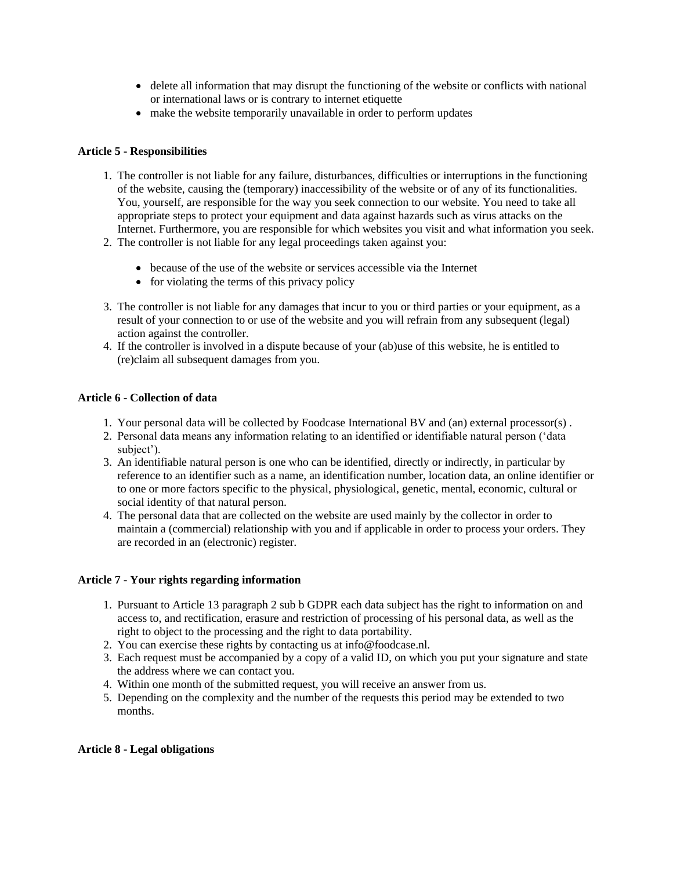- delete all information that may disrupt the functioning of the website or conflicts with national or international laws or is contrary to internet etiquette
- make the website temporarily unavailable in order to perform updates

# **Article 5 - Responsibilities**

- 1. The controller is not liable for any failure, disturbances, difficulties or interruptions in the functioning of the website, causing the (temporary) inaccessibility of the website or of any of its functionalities. You, yourself, are responsible for the way you seek connection to our website. You need to take all appropriate steps to protect your equipment and data against hazards such as virus attacks on the Internet. Furthermore, you are responsible for which websites you visit and what information you seek.
- 2. The controller is not liable for any legal proceedings taken against you:
	- because of the use of the website or services accessible via the Internet
	- for violating the terms of this privacy policy
- 3. The controller is not liable for any damages that incur to you or third parties or your equipment, as a result of your connection to or use of the website and you will refrain from any subsequent (legal) action against the controller.
- 4. If the controller is involved in a dispute because of your (ab)use of this website, he is entitled to (re)claim all subsequent damages from you.

# **Article 6 - Collection of data**

- 1. Your personal data will be collected by Foodcase International BV and (an) external processor(s) .
- 2. Personal data means any information relating to an identified or identifiable natural person ('data subject').
- 3. An identifiable natural person is one who can be identified, directly or indirectly, in particular by reference to an identifier such as a name, an identification number, location data, an online identifier or to one or more factors specific to the physical, physiological, genetic, mental, economic, cultural or social identity of that natural person.
- 4. The personal data that are collected on the website are used mainly by the collector in order to maintain a (commercial) relationship with you and if applicable in order to process your orders. They are recorded in an (electronic) register.

# **Article 7 - Your rights regarding information**

- 1. Pursuant to Article 13 paragraph 2 sub b GDPR each data subject has the right to information on and access to, and rectification, erasure and restriction of processing of his personal data, as well as the right to object to the processing and the right to data portability.
- 2. You can exercise these rights by contacting us at info@foodcase.nl.
- 3. Each request must be accompanied by a copy of a valid ID, on which you put your signature and state the address where we can contact you.
- 4. Within one month of the submitted request, you will receive an answer from us.
- 5. Depending on the complexity and the number of the requests this period may be extended to two months.

### **Article 8 - Legal obligations**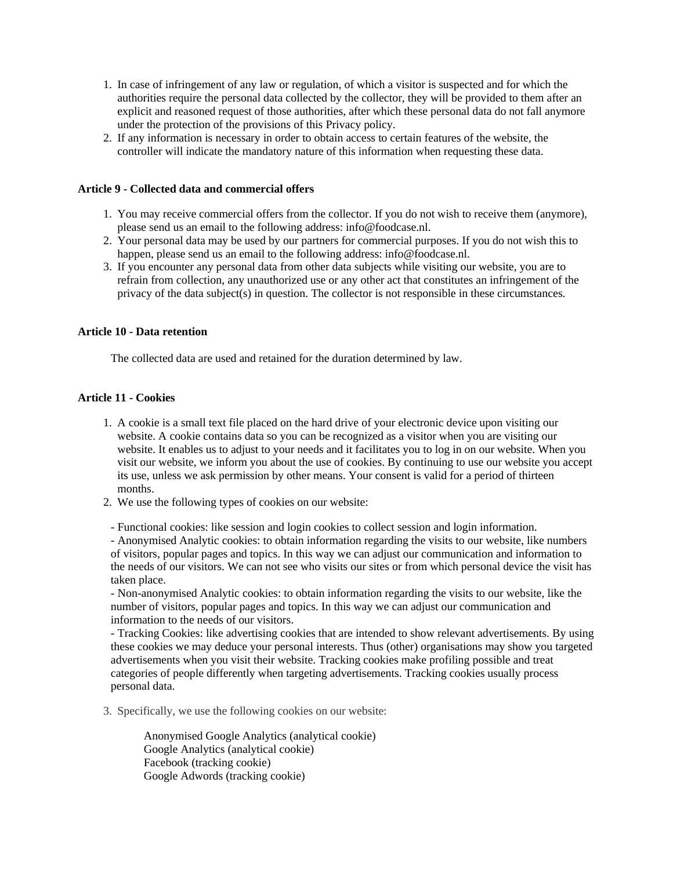- 1. In case of infringement of any law or regulation, of which a visitor is suspected and for which the authorities require the personal data collected by the collector, they will be provided to them after an explicit and reasoned request of those authorities, after which these personal data do not fall anymore under the protection of the provisions of this Privacy policy.
- 2. If any information is necessary in order to obtain access to certain features of the website, the controller will indicate the mandatory nature of this information when requesting these data.

### **Article 9 - Collected data and commercial offers**

- 1. You may receive commercial offers from the collector. If you do not wish to receive them (anymore), please send us an email to the following address: info@foodcase.nl.
- 2. Your personal data may be used by our partners for commercial purposes. If you do not wish this to happen, please send us an email to the following address: info@foodcase.nl.
- 3. If you encounter any personal data from other data subjects while visiting our website, you are to refrain from collection, any unauthorized use or any other act that constitutes an infringement of the privacy of the data subject(s) in question. The collector is not responsible in these circumstances.

#### **Article 10 - Data retention**

The collected data are used and retained for the duration determined by law.

# **Article 11 - Cookies**

- 1. A cookie is a small text file placed on the hard drive of your electronic device upon visiting our website. A cookie contains data so you can be recognized as a visitor when you are visiting our website. It enables us to adjust to your needs and it facilitates you to log in on our website. When you visit our website, we inform you about the use of cookies. By continuing to use our website you accept its use, unless we ask permission by other means. Your consent is valid for a period of thirteen months.
- 2. We use the following types of cookies on our website:
- Functional cookies: like session and login cookies to collect session and login information.

- Anonymised Analytic cookies: to obtain information regarding the visits to our website, like numbers of visitors, popular pages and topics. In this way we can adjust our communication and information to the needs of our visitors. We can not see who visits our sites or from which personal device the visit has taken place.

- Non-anonymised Analytic cookies: to obtain information regarding the visits to our website, like the number of visitors, popular pages and topics. In this way we can adjust our communication and information to the needs of our visitors.

- Tracking Cookies: like advertising cookies that are intended to show relevant advertisements. By using these cookies we may deduce your personal interests. Thus (other) organisations may show you targeted advertisements when you visit their website. Tracking cookies make profiling possible and treat categories of people differently when targeting advertisements. Tracking cookies usually process personal data.

3. Specifically, we use the following cookies on our website:

Anonymised Google Analytics (analytical cookie) Google Analytics (analytical cookie) Facebook (tracking cookie) Google Adwords (tracking cookie)